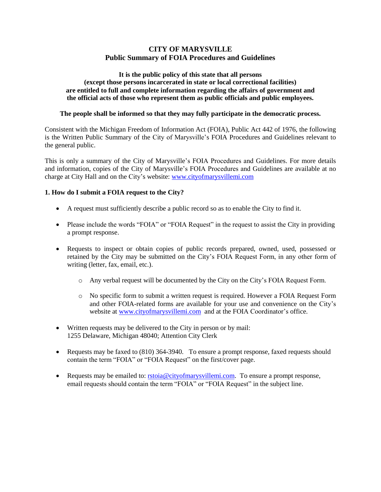# **CITY OF MARYSVILLE Public Summary of FOIA Procedures and Guidelines**

#### **It is the public policy of this state that all persons (except those persons incarcerated in state or local correctional facilities) are entitled to full and complete information regarding the affairs of government and the official acts of those who represent them as public officials and public employees.**

#### **The people shall be informed so that they may fully participate in the democratic process.**

Consistent with the Michigan Freedom of Information Act (FOIA), Public Act 442 of 1976, the following is the Written Public Summary of the City of Marysville's FOIA Procedures and Guidelines relevant to the general public.

This is only a summary of the City of Marysville's FOIA Procedures and Guidelines. For more details and information, copies of the City of Marysville's FOIA Procedures and Guidelines are available at no charge at City Hall and on the City's website: [www.cityofmarysvillemi.com](http://www.cityofmarysvillemi.com/)

### **1. How do I submit a FOIA request to the City?**

- A request must sufficiently describe a public record so as to enable the City to find it.
- Please include the words "FOIA" or "FOIA Request" in the request to assist the City in providing a prompt response.
- Requests to inspect or obtain copies of public records prepared, owned, used, possessed or retained by the City may be submitted on the City's FOIA Request Form, in any other form of writing (letter, fax, email, etc.).
	- o Any verbal request will be documented by the City on the City's FOIA Request Form.
	- o No specific form to submit a written request is required. However a FOIA Request Form and other FOIA-related forms are available for your use and convenience on the City's website at [www.cityofmarysvillemi.com](http://www.cityofmarysvillemi.com/) and at the FOIA Coordinator's office.
- Written requests may be delivered to the City in person or by mail: 1255 Delaware, Michigan 48040; Attention City Clerk
- Requests may be faxed to (810) 364-3940. To ensure a prompt response, faxed requests should contain the term "FOIA" or "FOIA Request" on the first/cover page.
- Requests may be emailed to:  $rstoia@cityofmarywillemi.com$ . To ensure a prompt response, email requests should contain the term "FOIA" or "FOIA Request" in the subject line.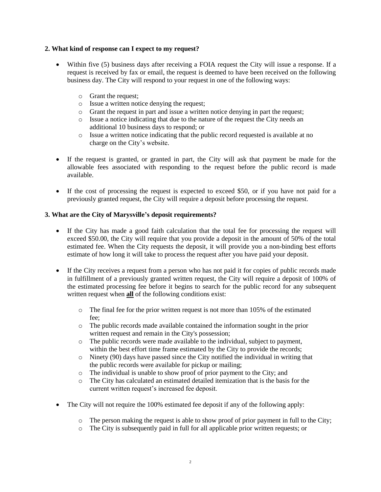## **2. What kind of response can I expect to my request?**

- Within five (5) business days after receiving a FOIA request the City will issue a response. If a request is received by fax or email, the request is deemed to have been received on the following business day. The City will respond to your request in one of the following ways:
	- o Grant the request;
	- o Issue a written notice denying the request;
	- o Grant the request in part and issue a written notice denying in part the request;
	- o Issue a notice indicating that due to the nature of the request the City needs an additional 10 business days to respond; or
	- o Issue a written notice indicating that the public record requested is available at no charge on the City's website.
- If the request is granted, or granted in part, the City will ask that payment be made for the allowable fees associated with responding to the request before the public record is made available.
- If the cost of processing the request is expected to exceed \$50, or if you have not paid for a previously granted request, the City will require a deposit before processing the request.

# **3. What are the City of Marysville's deposit requirements?**

- If the City has made a good faith calculation that the total fee for processing the request will exceed \$50.00, the City will require that you provide a deposit in the amount of 50% of the total estimated fee. When the City requests the deposit, it will provide you a non-binding best efforts estimate of how long it will take to process the request after you have paid your deposit.
- If the City receives a request from a person who has not paid it for copies of public records made in fulfillment of a previously granted written request, the City will require a deposit of 100% of the estimated processing fee before it begins to search for the public record for any subsequent written request when **all** of the following conditions exist:
	- $\circ$  The final fee for the prior written request is not more than 105% of the estimated fee;
	- o The public records made available contained the information sought in the prior written request and remain in the City's possession;
	- o The public records were made available to the individual, subject to payment, within the best effort time frame estimated by the City to provide the records;
	- $\circ$  Ninety (90) days have passed since the City notified the individual in writing that the public records were available for pickup or mailing;
	- o The individual is unable to show proof of prior payment to the City; and
	- o The City has calculated an estimated detailed itemization that is the basis for the current written request's increased fee deposit.
- The City will not require the 100% estimated fee deposit if any of the following apply:
	- o The person making the request is able to show proof of prior payment in full to the City;
	- o The City is subsequently paid in full for all applicable prior written requests; or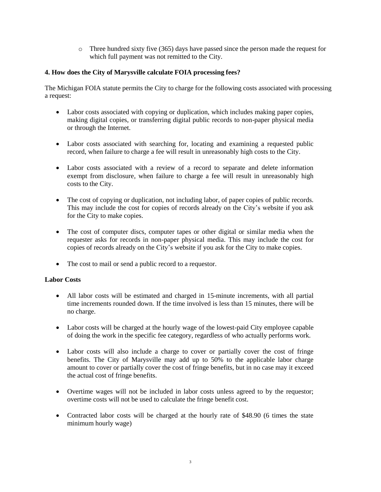o Three hundred sixty five (365) days have passed since the person made the request for which full payment was not remitted to the City.

# **4. How does the City of Marysville calculate FOIA processing fees?**

The Michigan FOIA statute permits the City to charge for the following costs associated with processing a request:

- Labor costs associated with copying or duplication, which includes making paper copies, making digital copies, or transferring digital public records to non-paper physical media or through the Internet.
- Labor costs associated with searching for, locating and examining a requested public record, when failure to charge a fee will result in unreasonably high costs to the City.
- Labor costs associated with a review of a record to separate and delete information exempt from disclosure, when failure to charge a fee will result in unreasonably high costs to the City.
- The cost of copying or duplication, not including labor, of paper copies of public records. This may include the cost for copies of records already on the City's website if you ask for the City to make copies.
- The cost of computer discs, computer tapes or other digital or similar media when the requester asks for records in non-paper physical media. This may include the cost for copies of records already on the City's website if you ask for the City to make copies.
- The cost to mail or send a public record to a requestor.

### **Labor Costs**

- All labor costs will be estimated and charged in 15-minute increments, with all partial time increments rounded down. If the time involved is less than 15 minutes, there will be no charge.
- Labor costs will be charged at the hourly wage of the lowest-paid City employee capable of doing the work in the specific fee category, regardless of who actually performs work.
- Labor costs will also include a charge to cover or partially cover the cost of fringe benefits. The City of Marysville may add up to 50% to the applicable labor charge amount to cover or partially cover the cost of fringe benefits, but in no case may it exceed the actual cost of fringe benefits.
- Overtime wages will not be included in labor costs unless agreed to by the requestor; overtime costs will not be used to calculate the fringe benefit cost.
- Contracted labor costs will be charged at the hourly rate of \$48.90 (6 times the state minimum hourly wage)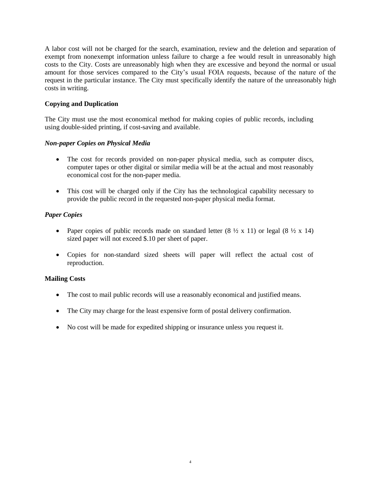A labor cost will not be charged for the search, examination, review and the deletion and separation of exempt from nonexempt information unless failure to charge a fee would result in unreasonably high costs to the City. Costs are unreasonably high when they are excessive and beyond the normal or usual amount for those services compared to the City's usual FOIA requests, because of the nature of the request in the particular instance. The City must specifically identify the nature of the unreasonably high costs in writing.

# **Copying and Duplication**

The City must use the most economical method for making copies of public records, including using double-sided printing, if cost-saving and available.

### *Non-paper Copies on Physical Media*

- The cost for records provided on non-paper physical media, such as computer discs, computer tapes or other digital or similar media will be at the actual and most reasonably economical cost for the non-paper media.
- This cost will be charged only if the City has the technological capability necessary to provide the public record in the requested non-paper physical media format.

# *Paper Copies*

- Paper copies of public records made on standard letter  $(8 \frac{1}{2} \times 11)$  or legal  $(8 \frac{1}{2} \times 14)$ sized paper will not exceed \$.10 per sheet of paper.
- Copies for non-standard sized sheets will paper will reflect the actual cost of reproduction.

### **Mailing Costs**

- The cost to mail public records will use a reasonably economical and justified means.
- The City may charge for the least expensive form of postal delivery confirmation.
- No cost will be made for expedited shipping or insurance unless you request it.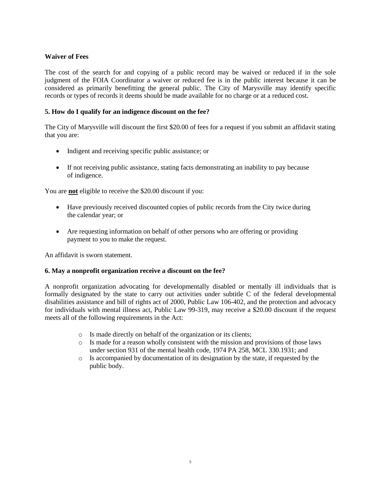# **Waiver of Fees**

The cost of the search for and copying of a public record may be waived or reduced if in the sole judgment of the FOIA Coordinator a waiver or reduced fee is in the public interest because it can be considered as primarily benefitting the general public. The City of Marysville may identify specific records or types of records it deems should be made available for no charge or at a reduced cost.

## **5. How do I qualify for an indigence discount on the fee?**

The City of Marysville will discount the first \$20.00 of fees for a request if you submit an affidavit stating that you are:

- Indigent and receiving specific public assistance; or
- If not receiving public assistance, stating facts demonstrating an inability to pay because of indigence.

You are **not** eligible to receive the \$20.00 discount if you:

- Have previously received discounted copies of public records from the City twice during the calendar year; or
- Are requesting information on behalf of other persons who are offering or providing payment to you to make the request.

An affidavit is sworn statement.

### **6. May a nonprofit organization receive a discount on the fee?**

A nonprofit organization advocating for developmentally disabled or mentally ill individuals that is formally designated by the state to carry out activities under subtitle C of the federal developmental disabilities assistance and bill of rights act of 2000, Public Law 106-402, and the protection and advocacy for individuals with mental illness act, Public Law 99-319, may receive a \$20.00 discount if the request meets all of the following requirements in the Act:

- o Is made directly on behalf of the organization or its clients;
- o Is made for a reason wholly consistent with the mission and provisions of those laws under section 931 of the mental health code, 1974 PA 258, MCL 330.1931; and
- o Is accompanied by documentation of its designation by the state, if requested by the public body.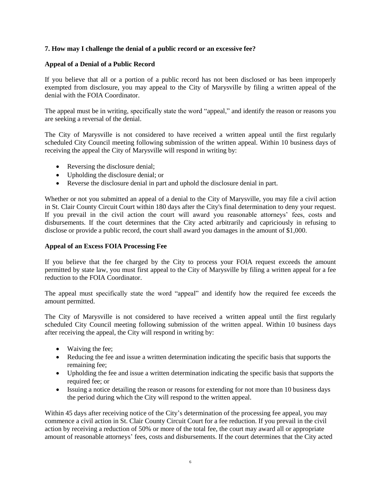## **7. How may I challenge the denial of a public record or an excessive fee?**

## **Appeal of a Denial of a Public Record**

If you believe that all or a portion of a public record has not been disclosed or has been improperly exempted from disclosure, you may appeal to the City of Marysville by filing a written appeal of the denial with the FOIA Coordinator.

The appeal must be in writing, specifically state the word "appeal," and identify the reason or reasons you are seeking a reversal of the denial.

The City of Marysville is not considered to have received a written appeal until the first regularly scheduled City Council meeting following submission of the written appeal. Within 10 business days of receiving the appeal the City of Marysville will respond in writing by:

- Reversing the disclosure denial;
- Upholding the disclosure denial; or
- Reverse the disclosure denial in part and uphold the disclosure denial in part.

Whether or not you submitted an appeal of a denial to the City of Marysville, you may file a civil action in St. Clair County Circuit Court within 180 days after the City's final determination to deny your request. If you prevail in the civil action the court will award you reasonable attorneys' fees, costs and disbursements. If the court determines that the City acted arbitrarily and capriciously in refusing to disclose or provide a public record, the court shall award you damages in the amount of \$1,000.

### **Appeal of an Excess FOIA Processing Fee**

If you believe that the fee charged by the City to process your FOIA request exceeds the amount permitted by state law, you must first appeal to the City of Marysville by filing a written appeal for a fee reduction to the FOIA Coordinator.

The appeal must specifically state the word "appeal" and identify how the required fee exceeds the amount permitted.

The City of Marysville is not considered to have received a written appeal until the first regularly scheduled City Council meeting following submission of the written appeal. Within 10 business days after receiving the appeal, the City will respond in writing by:

- Waiving the fee;
- Reducing the fee and issue a written determination indicating the specific basis that supports the remaining fee;
- Upholding the fee and issue a written determination indicating the specific basis that supports the required fee; or
- Issuing a notice detailing the reason or reasons for extending for not more than 10 business days the period during which the City will respond to the written appeal.

Within 45 days after receiving notice of the City's determination of the processing fee appeal, you may commence a civil action in St. Clair County Circuit Court for a fee reduction. If you prevail in the civil action by receiving a reduction of 50% or more of the total fee, the court may award all or appropriate amount of reasonable attorneys' fees, costs and disbursements. If the court determines that the City acted